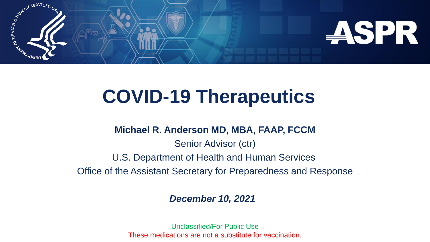

# **COVID-19 Therapeutics**

#### **Michael R. Anderson MD, MBA, FAAP, FCCM**

Senior Advisor (ctr) U.S. Department of Health and Human Services Office of the Assistant Secretary for Preparedness and Response

#### *December 10, 2021*

Unclassified/For Public Use These medications are not a substitute for vaccination.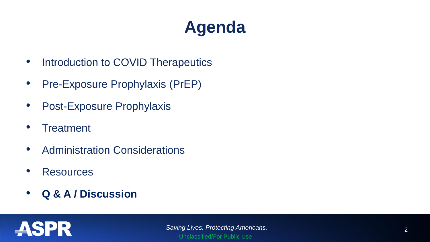# **Agenda**

- Introduction to COVID Therapeutics
- Pre-Exposure Prophylaxis (PrEP)
- Post-Exposure Prophylaxis
- Treatment
- Administration Considerations
- Resources
- **Q & A / Discussion**

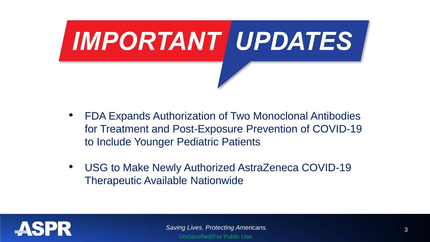

- FDA Expands Authorization of Two Monoclonal Antibodies for Treatment and Post-Exposure Prevention of COVID-19 to Include Younger Pediatric Patients
- USG to Make Newly Authorized AstraZeneca COVID-19 Therapeutic Available Nationwide

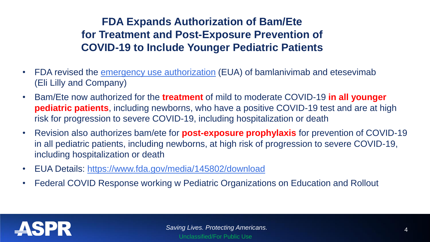### **FDA Expands Authorization of Bam/Ete for Treatment and Post-Exposure Prevention of COVID-19 to Include Younger Pediatric Patients**

- FDA revised the *[emergency use authorization](https://www.fda.gov/media/145801/download)* (EUA) of bamlanivimab and etesevimab (Eli Lilly and Company)
- Bam/Ete now authorized for the **treatment** of mild to moderate COVID-19 **in all younger pediatric patients**, including newborns, who have a positive COVID-19 test and are at high risk for progression to severe COVID-19, including hospitalization or death
- Revision also authorizes bam/ete for **post-exposure prophylaxis** for prevention of COVID-19 in all pediatric patients, including newborns, at high risk of progression to severe COVID-19, including hospitalization or death
- EUA Details:<https://www.fda.gov/media/145802/download>
- Federal COVID Response working w Pediatric Organizations on Education and Rollout

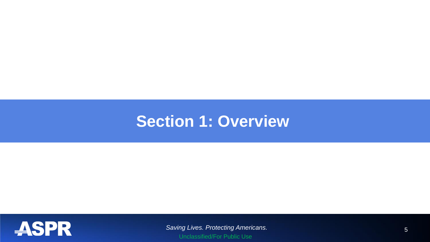### **Section 1: Overview**



*Saving Lives. Protecting Americans.* 5 Unclassified/For Public Use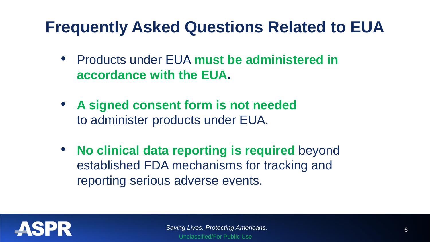## **Frequently Asked Questions Related to EUA**

- Products under EUA **must be administered in accordance with the EUA.**
- **A signed consent form is not needed** to administer products under EUA.
- **No clinical data reporting is required** beyond established FDA mechanisms for tracking and reporting serious adverse events.

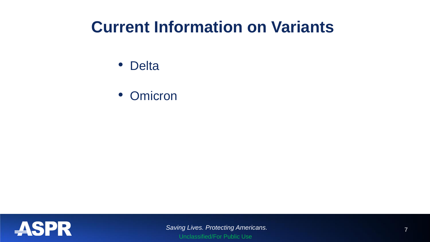## **Current Information on Variants**

- Delta
- Omicron

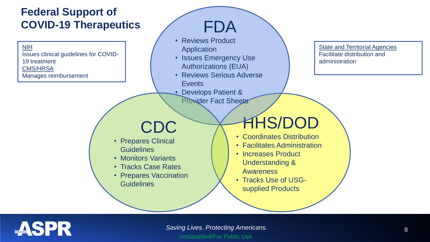### **Federal Support of COVID-19 Therapeutics**

NIH Issues clinical guidelines for COVID-19 treatment CMS/HRSA Manages reimbursement

## FDA

- Reviews Product Application
- Issues Emergency Use Authorizations (EUA)
- Reviews Serious Adverse Events
- Develops Patient & Provider Fact Sheets

CDC

- Prepares Clinical **Guidelines**
- Monitors Variants
- Tracks Case Rates
- Prepares Vaccination **Guidelines**

## HHS/DOD

- Coordinates Distribution
- Facilitates Administration
- Increases Product Understanding & Awareness
- Tracks Use of USGsupplied Products



State and Territorial Agencies Facilitate distribution and

administration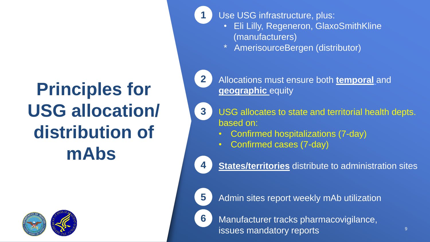# **Principles for USG allocation/ distribution of mAbs**



Use USG infrastructure, plus:

- Eli Lilly, Regeneron, GlaxoSmithKline (manufacturers)
- \* AmerisourceBergen (distributor)

**2**

**3**

**1**

Allocations must ensure both **temporal** and **geographic** equity

USG allocates to state and territorial health depts. based on:

- Confirmed hospitalizations (7-day)
- Confirmed cases (7-day)

**States/territories** distribute to administration sites



**4**

Admin sites report weekly mAb utilization

**6**

Manufacturer tracks pharmacovigilance, issues mandatory reports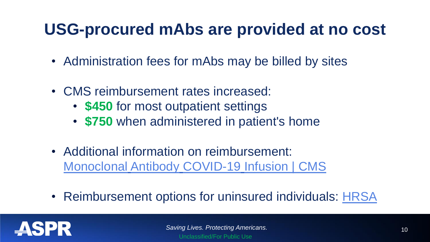## **USG-procured mAbs are provided at no cost**

- Administration fees for mAbs may be billed by sites
- CMS reimbursement rates increased:
	- **\$450** for most outpatient settings
	- **\$750** when administered in patient's home
- Additional information on reimbursement: [Monoclonal](https://www.cms.gov/medicare/covid-19/monoclonal-antibody-covid-19-infusion) [Antibody](https://www.cms.gov/medicare/covid-19/monoclonal-antibody-covid-19-infusion) [COVID-19](https://www.cms.gov/medicare/covid-19/monoclonal-antibody-covid-19-infusion) [Infusion | CMS](https://www.cms.gov/medicare/covid-19/monoclonal-antibody-covid-19-infusion)
- Reimbursement options for uninsured individuals: [HRSA](https://www.hhs.gov/sites/default/files/uninsured-patient-covid-services-poster.pdf)

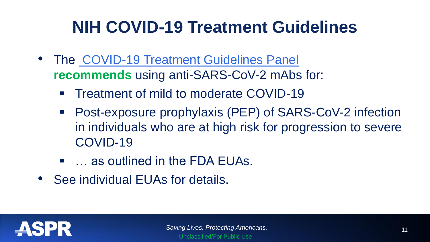# **NIH COVID-19 Treatment Guidelines**

- The [COVID-19 Treatment Guidelines Panel](https://www.covid19treatmentguidelines.nih.gov/therapies/statement-on-the-prioritization-of-anti-sars-cov-2-monoclonal-antibodies/) **recommends** using anti-SARS-CoV-2 mAbs for:
	- Treatment of mild to moderate COVID-19
	- Post-exposure prophylaxis (PEP) of SARS-CoV-2 infection in individuals who are at high risk for progression to severe COVID-19
	- ... as outlined in the FDA EUAs.
- See individual EUAs for details.

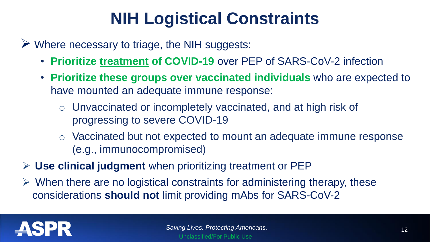# **NIH Logistical Constraints**

- ➢ Where necessary to triage, the NIH suggests:
	- **Prioritize treatment of COVID-19** over PEP of SARS-CoV-2 infection
	- **Prioritize these groups over vaccinated individuals** who are expected to have mounted an adequate immune response:
		- o Unvaccinated or incompletely vaccinated, and at high risk of progressing to severe COVID-19
		- o Vaccinated but not expected to mount an adequate immune response (e.g., immunocompromised)
- ➢ **Use clinical judgment** when prioritizing treatment or PEP
- $\triangleright$  When there are no logistical constraints for administering therapy, these considerations **should not** limit providing mAbs for SARS-CoV-2

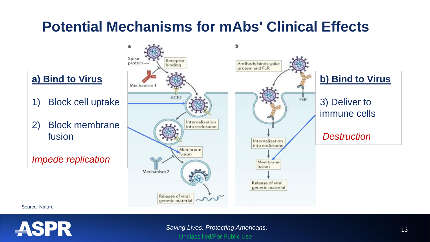### **Potential Mechanisms for mAbs' Clinical Effects**



Source: Nature



**Saving Lives. Protecting Americans.** 13 Unclassified/For Public Use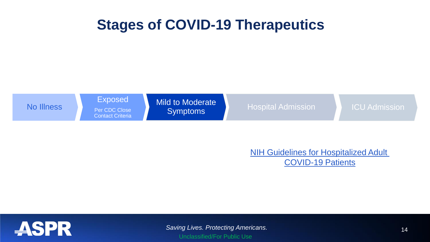### **Stages of COVID-19 Therapeutics**



**[NIH Guidelines for Hospitalized](https://www.covid19treatmentguidelines.nih.gov/management/clinical-management/hospitalized-adults--therapeutic-management/) Adult** [COVID-19 Patients](https://www.covid19treatmentguidelines.nih.gov/management/clinical-management/hospitalized-adults--therapeutic-management/)



*Saving Lives. Protecting Americans.* 14 Unclassified/For Public Use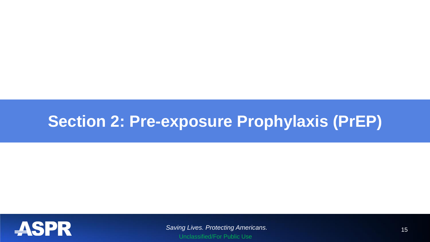## **Section 2: Pre-exposure Prophylaxis (PrEP)**



*Saving Lives. Protecting Americans.* 15 Unclassified/For Public Use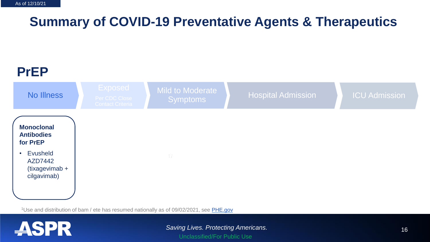### **Summary of COVID-19 Preventative Agents & Therapeutics**



<sup>1</sup>Use and distribution of bam / ete has resumed nationally as of 09/02/2021, see [PHE.gov](https://www.phe.gov/emergency/events/COVID19/investigation-MCM/Bamlanivimab-etesevimab/Pages/resume-distribution-bamlanivimabetesevimab-all-states-2sept2021.aspx)

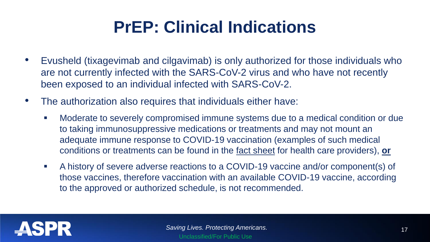# **PrEP: Clinical Indications**

- Evusheld (tixagevimab and cilgavimab) is only authorized for those individuals who are not currently infected with the SARS-CoV-2 virus and who have not recently been exposed to an individual infected with SARS-CoV-2.
- The authorization also requires that individuals either have:
	- Moderate to severely compromised immune systems due to a medical condition or due to taking immunosuppressive medications or treatments and may not mount an adequate immune response to COVID-19 vaccination (examples of such medical conditions or treatments can be found in the [fact sheet](https://www.fda.gov/media/154701/download) for health care providers), **or**
	- A history of severe adverse reactions to a COVID-19 vaccine and/or component(s) of those vaccines, therefore vaccination with an available COVID-19 vaccine, according to the approved or authorized schedule, is not recommended.

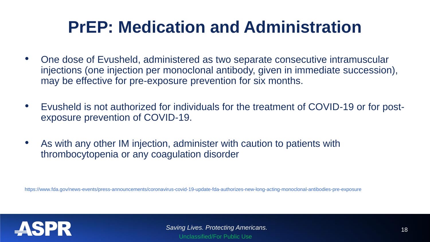## **PrEP: Medication and Administration**

- One dose of Evusheld, administered as two separate consecutive intramuscular injections (one injection per monoclonal antibody, given in immediate succession), may be effective for pre-exposure prevention for six months.
- Evusheld is not authorized for individuals for the treatment of COVID-19 or for postexposure prevention of COVID-19.
- As with any other IM injection, administer with caution to patients with thrombocytopenia or any coagulation disorder

https://www.fda.gov/news-events/press-announcements/coronavirus-covid-19-update-fda-authorizes-new-long-acting-monoclonal-antibodies-pre-exposure

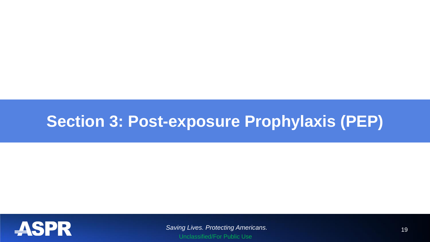## **Section 3: Post-exposure Prophylaxis (PEP)**



*Saving Lives. Protecting Americans.* 19 Unclassified/For Public Use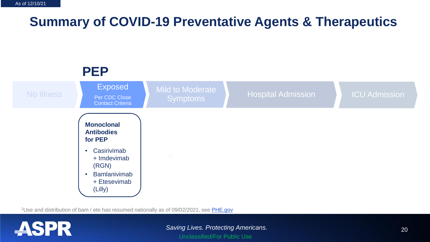### **Summary of COVID-19 Preventative Agents & Therapeutics**



<sup>1</sup>Use and distribution of bam / ete has resumed nationally as of 09/02/2021, see [PHE.gov](https://www.phe.gov/emergency/events/COVID19/investigation-MCM/Bamlanivimab-etesevimab/Pages/resume-distribution-bamlanivimabetesevimab-all-states-2sept2021.aspx)

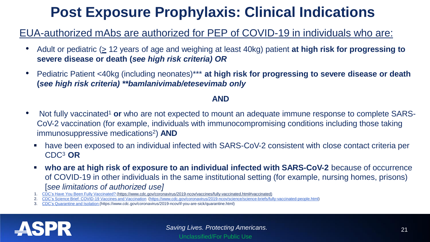## **Post Exposure Prophylaxis: Clinical Indications**

#### EUA-authorized mAbs are authorized for PEP of COVID-19 in individuals who are:

- Adult or pediatric (> 12 years of age and weighing at least 40kg) patient **at high risk for progressing to severe disease or death (***see high risk criteria) OR*
- Pediatric Patient <40kg (including neonates)\*\*\* **at high risk for progressing to severe disease or death (***see high risk criteria) \*\*bamlanivimab/etesevimab only*

#### **AND**

- Not fully vaccinated<sup>1</sup> or who are not expected to mount an adequate immune response to complete SARS-CoV-2 vaccination (for example, individuals with immunocompromising conditions including those taking immunosuppressive medications <sup>2</sup>) **AND**
	- have been exposed to an individual infected with SARS-CoV-2 consistent with close contact criteria per CDC<sup>3</sup> **OR**
	- **who are at high risk of exposure to an individual infected with SARS-CoV-2** because of occurrence of COVID-19 in other individuals in the same institutional setting (for example, nursing homes, prisons) [*see limitations of authorized use]*
	- 1. CDC's Have You Been Fully [Vaccinated?](https://www.cdc.gov/coronavirus/2019-ncov/vaccines/fully-vaccinated.html#vaccinated) (https://www.cdc.gov/coronavirus/2019-ncov/vaccines/fully-vaccinated.html#vaccinated)
	- 2. CDC's Science Brief: [COVID-19 Vaccines](https://www.cdc.gov/coronavirus/2019-ncov/science/science-briefs/fully-vaccinated-people.html) and Vaccination [\(https://www.cdc.gov/coronavirus/2019-ncov/science/science-briefs/fully-vaccinated-people.html\)](https://www.cdc.gov/coronavirus/2019-ncov/science/science-briefs/fully-vaccinated-people.html)
	- 3. CDC's [Quarantine](https://www.cdc.gov/coronavirus/2019-ncov/if-you-are-sick/quarantine.html) and Isolation (https://www.cdc.gov/coronavirus/2019-ncov/if-you-are-sick/quarantine.html)

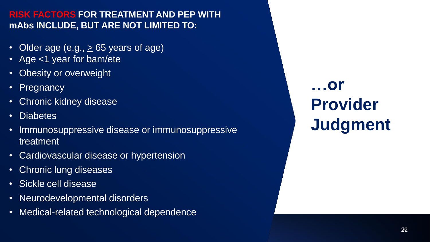#### **RISK FACTORS FOR TREATMENT AND PEP WITH mAbs INCLUDE, BUT ARE NOT LIMITED TO:**

- Older age (e.g.,  $\geq$  65 years of age)
- Age <1 year for bam/ete
- Obesity or overweight
- Pregnancy
- Chronic kidney disease
- Diabetes
- Immunosuppressive disease or immunosuppressive treatment
- Cardiovascular disease or hypertension
- Chronic lung diseases
- Sickle cell disease
- Neurodevelopmental disorders
- Medical-related technological dependence

**…or Provider Judgment**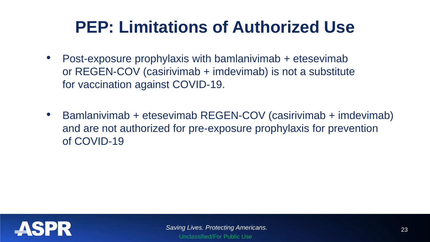## **PEP: Limitations of Authorized Use**

- Post-exposure prophylaxis with bamlanivimab + etesevimab or REGEN-COV (casirivimab + imdevimab) is not a substitute for vaccination against COVID-19.
- Bamlanivimab + etesevimab REGEN-COV (casirivimab + imdevimab) and are not authorized for pre-exposure prophylaxis for prevention of COVID-19

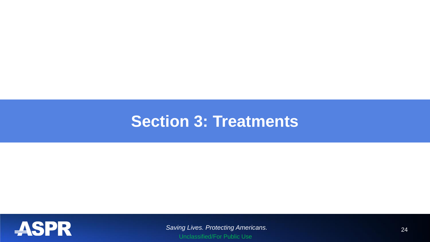### **Section 3: Treatments**



*Saving Lives. Protecting Americans.* 24 Unclassified/For Public Use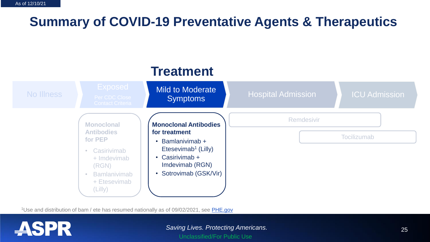### **Summary of COVID-19 Preventative Agents & Therapeutics**

#### Remdesivir **Tocilizumab Monoclonal Antibodies for treatment** • Bamlanivimab + Etesevimab<sup>1</sup> (Lilly) • Casirivimab + Imdevimab (RGN) • Sotrovimab (GSK/Vir) **Monoclonal Antibodies for PEP Casirivimab** + Imdevimab (RGN) **Bamlanivimab** + Etesevimab (Lilly) **Treatment** Mild to Moderate No Illness Reprise Close Note that Symptoms Hospital Admission ICU Admission

<sup>1</sup>Use and distribution of bam / ete has resumed nationally as of 09/02/2021, see [PHE.gov](https://www.phe.gov/emergency/events/COVID19/investigation-MCM/Bamlanivimab-etesevimab/Pages/resume-distribution-bamlanivimabetesevimab-all-states-2sept2021.aspx)

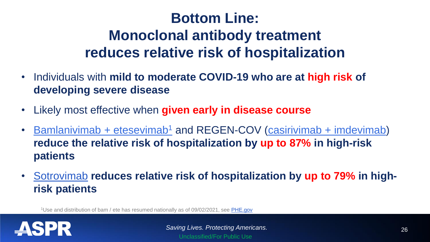## **Bottom Line: Monoclonal antibody treatment reduces relative risk of hospitalization**

- Individuals with **mild to moderate COVID-19 who are at high risk of developing severe disease**
- Likely most effective when **given early in disease course**
- [Bamlanivimab](https://www.fda.gov/media/145802/download) + etesevimab<sup>1</sup> and REGEN-COV [\(casirivimab + imdevimab\)](https://www.fda.gov/media/145611/download) **reduce the relative risk of hospitalization by up to 87% in high-risk patients**
- [Sotrovimab](https://www.fda.gov/media/149534/download) **reduces relative risk of hospitalization by up to 79% in highrisk patients**

<sup>1</sup>Use and distribution of bam / ete has resumed nationally as of 09/02/2021, see [PHE.gov](https://www.phe.gov/emergency/events/COVID19/investigation-MCM/Bamlanivimab-etesevimab/Pages/resume-distribution-bamlanivimabetesevimab-all-states-2sept2021.aspx)

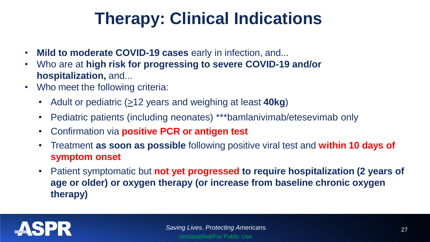# **Therapy: Clinical Indications**

- **Mild to moderate COVID-19 cases** early in infection, and...
- Who are at **high risk for progressing to severe COVID-19 and/or hospitalization,** and...
- Who meet the following criteria:
	- Adult or pediatric  $(212 \text{ years and weighing at least } 40 \text{ kg})$
	- Pediatric patients (including neonates) \*\*\*bamlanivimab/etesevimab only
	- Confirmation via **positive PCR or antigen test**
	- Treatment **as soon as possible** following positive viral test and **within 10 days of symptom onset**
	- Patient symptomatic but **not yet progressed to require hospitalization (2 years of age or older) or oxygen therapy (or increase from baseline chronic oxygen therapy)**

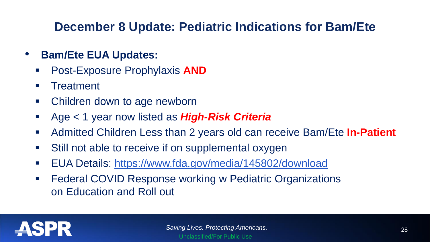### **December 8 Update: Pediatric Indications for Bam/Ete**

- **Bam/Ete EUA Updates:**
	- Post-Exposure Prophylaxis **AND**
	- Treatment
	- Children down to age newborn
	- Age < 1 year now listed as *High-Risk Criteria*
	- Admitted Children Less than 2 years old can receive Bam/Ete **In-Patient**
	- Still not able to receive if on supplemental oxygen
	- EUA Details: <https://www.fda.gov/media/145802/download>
	- Federal COVID Response working w Pediatric Organizations on Education and Roll out

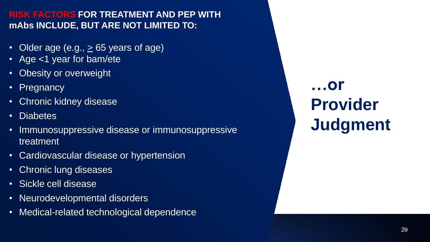#### **RISK FACTORS FOR TREATMENT AND PEP WITH mAbs INCLUDE, BUT ARE NOT LIMITED TO:**

- Older age (e.g.,  $\geq$  65 years of age)
- Age <1 year for bam/ete
- Obesity or overweight
- Pregnancy
- Chronic kidney disease
- Diabetes
- Immunosuppressive disease or immunosuppressive treatment
- Cardiovascular disease or hypertension
- Chronic lung diseases
- Sickle cell disease
- Neurodevelopmental disorders
- Medical-related technological dependence

**…or Provider Judgment**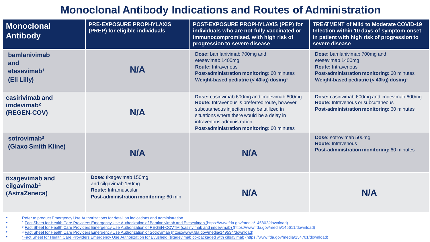### **Monoclonal Antibody Indications and Routes of Administration**

| <b>Monoclonal</b><br><b>Antibody</b>                          | <b>PRE-EXPOSURE PROPHYLAXIS</b><br>(PREP) for eligible individuals                                                              | POST-EXPOSURE PROPHYLAXIS (PEP) for<br>individuals who are not fully vaccinated or<br>immunocompromised, with high risk of<br>progression to severe disease                                                                                                          | <b>TREATMENT of Mild to Moderate COVID-19</b><br>Infection within 10 days of symptom onset<br>in patient with high risk of progression to<br>severe disease                         |
|---------------------------------------------------------------|---------------------------------------------------------------------------------------------------------------------------------|----------------------------------------------------------------------------------------------------------------------------------------------------------------------------------------------------------------------------------------------------------------------|-------------------------------------------------------------------------------------------------------------------------------------------------------------------------------------|
| bamlanivimab<br>and<br>etesevimab <sup>1</sup><br>(Eli Lilly) | <b>N/A</b>                                                                                                                      | Dose: bamlanivimab 700mg and<br>etesevimab 1400mg<br><b>Route: Intravenous</b><br>Post-administration monitoring: 60 minutes<br>Weight-based pediatric (< 40kg) dosing <sup>1</sup>                                                                                  | Dose: bamlanivimab 700mg and<br>etesevimab 1400mg<br><b>Route: Intravenous</b><br>Post-administration monitoring: 60 minutes<br>Weight-based pediatric (< 40kg) dosing <sup>1</sup> |
| casirivimab and<br>imdevimab <sup>2</sup><br>(REGEN-COV)      | <b>N/A</b>                                                                                                                      | Dose: casirivimab 600mg and imdevimab 600mg<br>Route: Intravenous is preferred route, however<br>subcutaneous injection may be utilized in<br>situations where there would be a delay in<br>intravenous administration<br>Post-administration monitoring: 60 minutes | <b>Dose:</b> casirivimab 600mg and imdevimab 600mg<br><b>Route: Intravenous or subcutaneous</b><br>Post-administration monitoring: 60 minutes                                       |
| sotrovimab <sup>3</sup><br><b>(Glaxo Smith Kline)</b>         | <b>N/A</b>                                                                                                                      | <b>N/A</b>                                                                                                                                                                                                                                                           | <b>Dose: sotrovimab 500mg</b><br><b>Route: Intravenous</b><br>Post-administration monitoring: 60 minutes                                                                            |
| tixagevimab and<br>cilgavimab <sup>4</sup><br>(AstraZeneca)   | <b>Dose: tixagevimab 150mg</b><br>and cilgavimab 150mg<br><b>Route: Intramuscular</b><br>Post-administration monitoring: 60 min | <b>N/A</b>                                                                                                                                                                                                                                                           | N/A                                                                                                                                                                                 |

• Refer to product Emergency Use Authorizations for detail on indications and administration

•

• •

<sup>1</sup> Fact Sheet for Health Care Providers Emergency Use Authorization of [Bamlanivimab](https://www.fda.gov/media/145802/download) and Etesevimab (https://www.fda.gov/media/145802/download)

<sup>2</sup> Fact Sheet for Health Care Providers Emergency Use Authorization of REGEN-COVTM (casirivimab and imdevimab) (https://www.fda.gov/media/145611/download)<br>3 Eact Sheet for Health Care Providers Emergency Use Authorization

<sup>3</sup> Fact Sheet for Health Care Providers Emergency Use [Authorization](https://www.fda.gov/media/149534/download) of Sotrovimab ([https://www.fda.gov/media/149534/download\)](https://www.fda.gov/media/149534/download)

1[Fact Sheet for Health Care Providers Emergency Use Authorization for Evusheld \(tixagevimab co-packaged with cilgavimab](https://www.fda.gov/media/154701/download) (https://www.fda.gov/media/154701/download) •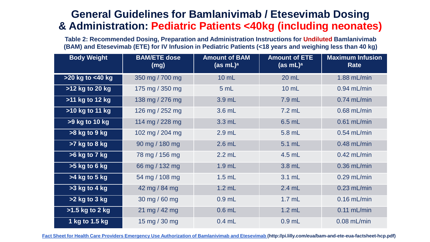#### **General Guidelines for Bamlanivimab / Etesevimab Dosing & Administration: Pediatric Patients <40kg (including neonates)**

**Table 2: Recommended Dosing, Preparation and Administration Instructions for Undiluted Bamlanivimab (BAM) and Etesevimab (ETE) for IV Infusion in Pediatric Patients (<18 years and weighing less than 40 kg)**

| <b>Body Weight</b> | <b>BAM/ETE dose</b><br>$\lfloor$ (mg) $\rfloor$ | <b>Amount of BAM</b><br>(as mL) <sup>a</sup> | <b>Amount of ETE</b><br>(as mL) <sup>a</sup> | <b>Maximum Infusion</b><br><b>Rate</b> |
|--------------------|-------------------------------------------------|----------------------------------------------|----------------------------------------------|----------------------------------------|
| >20 kg to <40 kg   | 350 mg / 700 mg                                 | 10 mL                                        | 20 mL                                        | $1.88$ mL/min                          |
| >12 kg to 20 kg    | 175 mg / 350 mg                                 | 5 mL                                         | 10 mL                                        | $0.94$ mL/min                          |
| >11 kg to 12 kg    | 138 mg / 276 mg                                 | 3.9 mL                                       | 7.9 mL                                       | $0.74$ mL/min                          |
| >10 kg to 11 kg    | 126 mg / 252 mg                                 | 3.6 mL                                       | $7.2$ mL                                     | $0.68$ mL/min                          |
| >9 kg to 10 kg     | 114 mg / 228 mg                                 | $3.3$ mL                                     | 6.5 mL                                       | $0.61$ mL/min                          |
| >8 kg to 9 kg      | 102 mg / 204 mg                                 | $2.9$ mL                                     | 5.8 mL                                       | $0.54$ mL/min                          |
| $>7$ kg to 8 kg    | 90 mg / 180 mg                                  | $2.6$ mL                                     | 5.1 mL                                       | $0.48$ mL/min                          |
| >6 kg to 7 kg      | 78 mg / 156 mg                                  | $2.2$ mL                                     | 4.5 mL                                       | $0.42$ mL/min                          |
| $>5$ kg to 6 kg    | 66 mg / 132 mg                                  | $1.9$ mL                                     | $3.8$ mL                                     | $0.36$ mL/min                          |
| $>4$ kg to 5 kg    | 54 mg / 108 mg                                  | $1.5$ mL                                     | 3.1 mL                                       | $0.29$ mL/min                          |
| $>3$ kg to 4 kg    | 42 mg / 84 mg                                   | $1.2$ mL                                     | $2.4$ mL                                     | $0.23$ mL/min                          |
| $>2$ kg to 3 kg    | 30 mg / 60 mg                                   | $0.9$ mL                                     | $1.7$ mL                                     | $0.16$ mL/min                          |
| $>1.5$ kg to 2 kg  | 21 mg / 42 mg                                   | $0.6$ mL                                     | $1.2$ mL                                     | $0.11$ mL/min                          |
| 1 kg to 1.5 kg     | 15 mg / 30 mg                                   | $0.4$ mL                                     | $0.9$ mL                                     | $0.08$ mL/min                          |

<u>Fact Sheet for Health Care Providers Emergency Use Authorization of Bamlanivimab and Etesevimab (http://pi.lilly.com/eua/bam-and-ete-eua-factsheet-hcp.pdf)</u>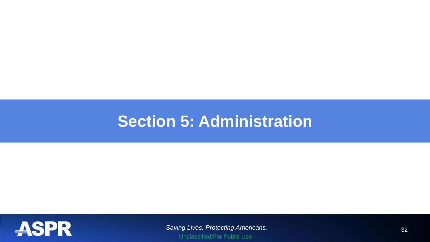## **Section 5: Administration**



*Saving Lives. Protecting Americans.* 32 Unclassified/For Public Use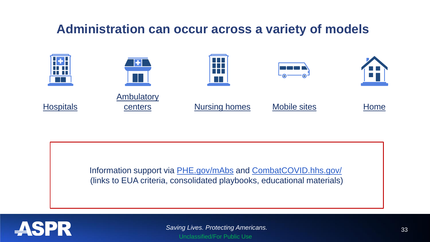### **Administration can occur across a variety of models**



Information support via [PHE.gov/mAbs](https://www.phe.gov/emergency/events/COVID19/therapeutics/Pages/default.aspx) and [CombatCOVID.hhs.gov/](https://combatcovid.hhs.gov/) (links to EUA criteria, consolidated playbooks, educational materials)



*Saving Lives. Protecting Americans.* 33 Unclassified/For Public Use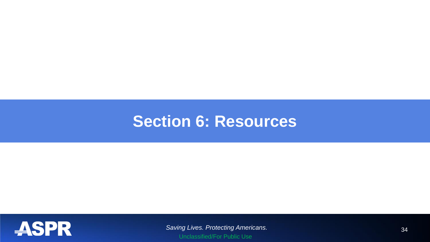### **Section 6: Resources**



**Saving Lives. Protecting Americans.** 34 Unclassified/For Public Use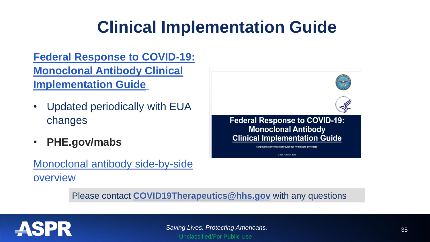# **Clinical Implementation Guide**

**Federal Response to COVID-19: [Monoclonal Antibody Clinical](https://www.phe.gov/emergency/events/COVID19/investigation-MCM/Documents/USG-COVID19-Tx-Playbook.pdf)  Implementation Guid[e](https://www.phe.gov/emergency/events/COVID19/investigation-MCM/Documents/USG-COVID19-Tx-Playbook.pdf)**

- Updated periodically with EUA changes
- **PHE.gov/mabs**

### [Monoclonal antibody side-by-side](https://www.phe.gov/emergency/events/COVID19/therapeutics/Pages/Side-by-Side-Overview-of-mAbs-Treatment.aspx)  overview



Please contact **[COVID19Therapeutics@hhs.gov](mailto:COVID19Therapeutics@hhs.gov)** with any questions

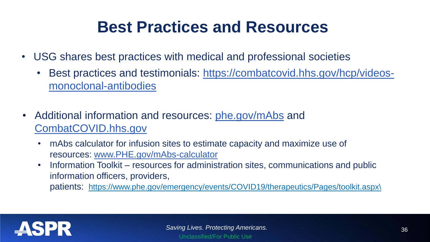## **Best Practices and Resources**

- USG shares best practices with medical and professional societies
	- Best practices and testimonials: [https://combatcovid.hhs.gov/hcp/videos](https://combatcovid.hhs.gov/hcp/videos-monoclonal-antibodies)monoclonal-antibodies
- Additional information and resources: [phe.gov/mAbs](https://www.phe.gov/emergency/events/COVID19/therapeutics/Pages/default.aspx) and [CombatCOVID.hhs.gov](https://combatcovid.hhs.gov/i-have-covid-19/how-do-i-know-if-im-high-risk)
	- mAbs calculator for infusion sites to estimate capacity and maximize use of resources: [www.PHE.gov/mAbs-calculator](http://www.phe.gov/mAbs-calculator)
	- Information Toolkit resources for administration sites, communications and public information officers, providers,

patients: [https://www.phe.gov/emergency/events/COVID19/therapeutics/Pages/toolkit.aspx\](https://www.phe.gov/emergency/events/COVID19/therapeutics/Pages/toolkit.aspx/)

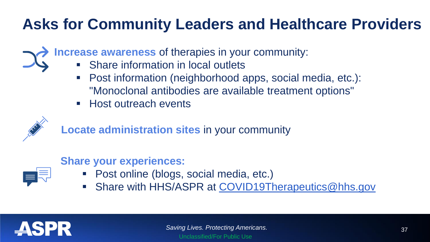## **Asks for Community Leaders and Healthcare Providers**

**Increase awareness** of therapies in your community:

- Share information in local outlets
- Post information (neighborhood apps, social media, etc.): "Monoclonal antibodies are available treatment options"
- Host outreach events



**Locate administration sites** in your community

| the control of the control of the |  |
|-----------------------------------|--|
| the control of the control of the |  |
| ___                               |  |

#### **Share your experiences:**

- Post online (blogs, social media, etc.)
- Share with HHS/ASPR at [COVID19Therapeutics@hhs.gov](mailto:COVID19Therapeutics@hhs.gov)

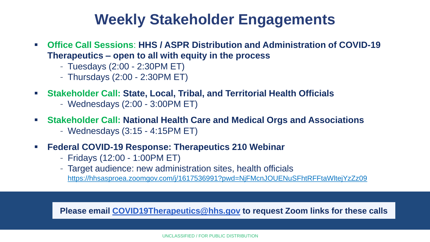### **Weekly Stakeholder Engagements**

- **Office Call Sessions**: **HHS / ASPR Distribution and Administration of COVID-19 Therapeutics – open to all with equity in the process**
	- Tuesdays (2:00 2:30PM ET)
	- Thursdays (2:00 2:30PM ET)
- **Stakeholder Call: State, Local, Tribal, and Territorial Health Officials**
	- Wednesdays (2:00 3:00PM ET)
- **Stakeholder Call: National Health Care and Medical Orgs and Associations**
	- Wednesdays (3:15 4:15PM ET)
- **Federal COVID-19 Response: Therapeutics 210 Webinar**
	- Fridays (12:00 1:00PM ET)
	- Target audience: new administration sites, health officials <https://hhsasproea.zoomgov.com/j/1617536991?pwd=NjFMcnJOUENuSFhtRFFtaWltejYzZz09>

**Please email [COVID19Therapeutics@hhs.gov](mailto:COVID-19Therapeutics@hhs.gov) to request Zoom links for these calls**